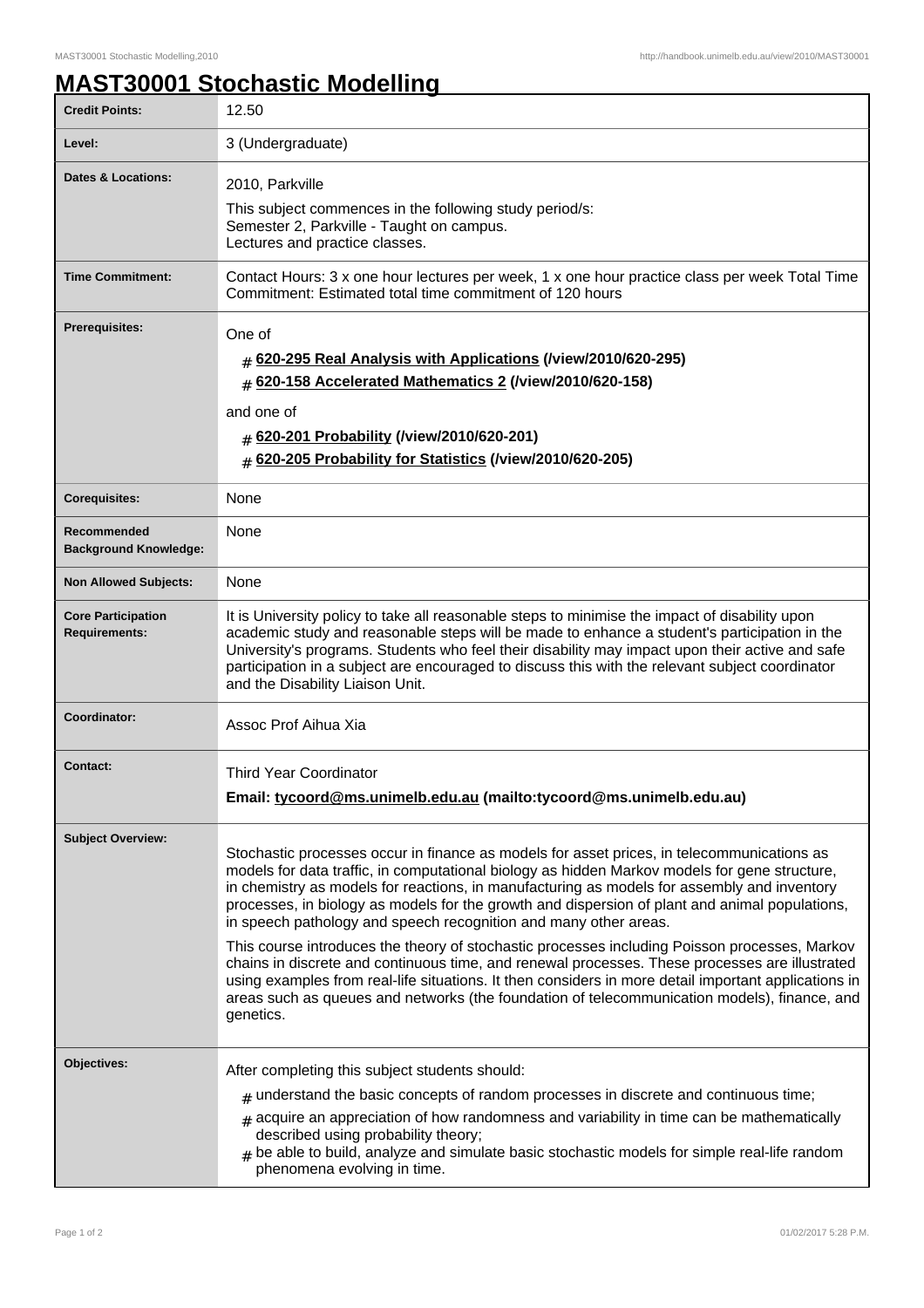## **MAST30001 Stochastic Modelling**

| <b>Credit Points:</b>                             | 12.50                                                                                                                                                                                                                                                                                                                                                                                                                                                                                                                                                                                                                                                                                                                                                                                                                                                                                    |
|---------------------------------------------------|------------------------------------------------------------------------------------------------------------------------------------------------------------------------------------------------------------------------------------------------------------------------------------------------------------------------------------------------------------------------------------------------------------------------------------------------------------------------------------------------------------------------------------------------------------------------------------------------------------------------------------------------------------------------------------------------------------------------------------------------------------------------------------------------------------------------------------------------------------------------------------------|
| Level:                                            | 3 (Undergraduate)                                                                                                                                                                                                                                                                                                                                                                                                                                                                                                                                                                                                                                                                                                                                                                                                                                                                        |
| <b>Dates &amp; Locations:</b>                     | 2010, Parkville<br>This subject commences in the following study period/s:<br>Semester 2, Parkville - Taught on campus.<br>Lectures and practice classes.                                                                                                                                                                                                                                                                                                                                                                                                                                                                                                                                                                                                                                                                                                                                |
| <b>Time Commitment:</b>                           | Contact Hours: 3 x one hour lectures per week, 1 x one hour practice class per week Total Time<br>Commitment: Estimated total time commitment of 120 hours                                                                                                                                                                                                                                                                                                                                                                                                                                                                                                                                                                                                                                                                                                                               |
| <b>Prerequisites:</b>                             | One of<br># 620-295 Real Analysis with Applications (/view/2010/620-295)<br># 620-158 Accelerated Mathematics 2 (/view/2010/620-158)<br>and one of<br># 620-201 Probability (/view/2010/620-201)<br># 620-205 Probability for Statistics (/view/2010/620-205)                                                                                                                                                                                                                                                                                                                                                                                                                                                                                                                                                                                                                            |
| <b>Corequisites:</b>                              | None                                                                                                                                                                                                                                                                                                                                                                                                                                                                                                                                                                                                                                                                                                                                                                                                                                                                                     |
| Recommended<br><b>Background Knowledge:</b>       | None                                                                                                                                                                                                                                                                                                                                                                                                                                                                                                                                                                                                                                                                                                                                                                                                                                                                                     |
| <b>Non Allowed Subjects:</b>                      | None                                                                                                                                                                                                                                                                                                                                                                                                                                                                                                                                                                                                                                                                                                                                                                                                                                                                                     |
| <b>Core Participation</b><br><b>Requirements:</b> | It is University policy to take all reasonable steps to minimise the impact of disability upon<br>academic study and reasonable steps will be made to enhance a student's participation in the<br>University's programs. Students who feel their disability may impact upon their active and safe<br>participation in a subject are encouraged to discuss this with the relevant subject coordinator<br>and the Disability Liaison Unit.                                                                                                                                                                                                                                                                                                                                                                                                                                                 |
| Coordinator:                                      | Assoc Prof Aihua Xia                                                                                                                                                                                                                                                                                                                                                                                                                                                                                                                                                                                                                                                                                                                                                                                                                                                                     |
| <b>Contact:</b>                                   | <b>Third Year Coordinator</b><br>Email: tycoord@ms.unimelb.edu.au (mailto:tycoord@ms.unimelb.edu.au)                                                                                                                                                                                                                                                                                                                                                                                                                                                                                                                                                                                                                                                                                                                                                                                     |
| <b>Subject Overview:</b>                          | Stochastic processes occur in finance as models for asset prices, in telecommunications as<br>models for data traffic, in computational biology as hidden Markov models for gene structure,<br>in chemistry as models for reactions, in manufacturing as models for assembly and inventory<br>processes, in biology as models for the growth and dispersion of plant and animal populations,<br>in speech pathology and speech recognition and many other areas.<br>This course introduces the theory of stochastic processes including Poisson processes, Markov<br>chains in discrete and continuous time, and renewal processes. These processes are illustrated<br>using examples from real-life situations. It then considers in more detail important applications in<br>areas such as queues and networks (the foundation of telecommunication models), finance, and<br>genetics. |
| Objectives:                                       | After completing this subject students should:<br>$_{\#}$ understand the basic concepts of random processes in discrete and continuous time;<br>$*$ acquire an appreciation of how randomness and variability in time can be mathematically<br>described using probability theory;<br>be able to build, analyze and simulate basic stochastic models for simple real-life random<br>phenomena evolving in time.                                                                                                                                                                                                                                                                                                                                                                                                                                                                          |